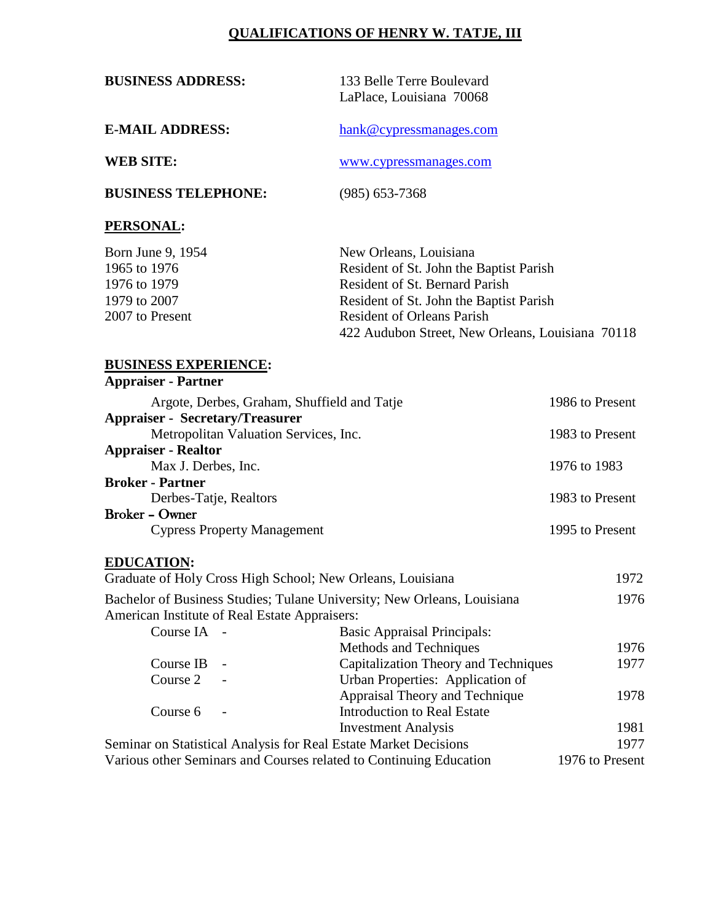# **QUALIFICATIONS OF HENRY W. TATJE, III**

**BUSINESS ADDRESS:** 133 Belle Terre Boulevard LaPlace, Louisiana 70068

**E-MAIL ADDRESS:** [hank@cypressmanages.com](mailto:hank@cypressmanages.com)

**WEB SITE:** [www.cypressmanages.com](http://www.cypressmanages.com/)

**BUSINESS TELEPHONE:** (985) 653-7368

### **PERSONAL:**

| Born June 9, 1954 | New Orleans, Louisiana                           |
|-------------------|--------------------------------------------------|
| 1965 to 1976      | Resident of St. John the Baptist Parish          |
| 1976 to 1979      | Resident of St. Bernard Parish                   |
| 1979 to 2007      | Resident of St. John the Baptist Parish          |
| 2007 to Present   | <b>Resident of Orleans Parish</b>                |
|                   | 422 Audubon Street, New Orleans, Louisiana 70118 |

#### **BUSINESS EXPERIENCE: Appraiser - Partner**

| Argote, Derbes, Graham, Shuffield and Tatje | 1986 to Present |
|---------------------------------------------|-----------------|
| <b>Appraiser - Secretary/Treasurer</b>      |                 |
| Metropolitan Valuation Services, Inc.       | 1983 to Present |
| <b>Appraiser - Realtor</b>                  |                 |
| Max J. Derbes, Inc.                         | 1976 to 1983    |
| <b>Broker - Partner</b>                     |                 |
| Derbes-Tatje, Realtors                      | 1983 to Present |
| <b>Broker - Owner</b>                       |                 |
| <b>Cypress Property Management</b>          | 1995 to Present |
|                                             |                 |

#### **EDUCATION:**

| Graduate of Holy Cross High School; New Orleans, Louisiana              |                |                                      | 1972            |  |
|-------------------------------------------------------------------------|----------------|--------------------------------------|-----------------|--|
| Bachelor of Business Studies; Tulane University; New Orleans, Louisiana |                |                                      | 1976            |  |
| American Institute of Real Estate Appraisers:                           |                |                                      |                 |  |
| Course IA -                                                             |                | <b>Basic Appraisal Principals:</b>   |                 |  |
|                                                                         |                | Methods and Techniques               | 1976            |  |
| Course IB                                                               |                | Capitalization Theory and Techniques | 1977            |  |
| Course 2                                                                |                | Urban Properties: Application of     |                 |  |
|                                                                         |                | Appraisal Theory and Technique       | 1978            |  |
| Course 6                                                                | $\overline{a}$ | <b>Introduction to Real Estate</b>   |                 |  |
|                                                                         |                | <b>Investment Analysis</b>           | 1981            |  |
| Seminar on Statistical Analysis for Real Estate Market Decisions        |                |                                      | 1977            |  |
| Various other Seminars and Courses related to Continuing Education      |                |                                      | 1976 to Present |  |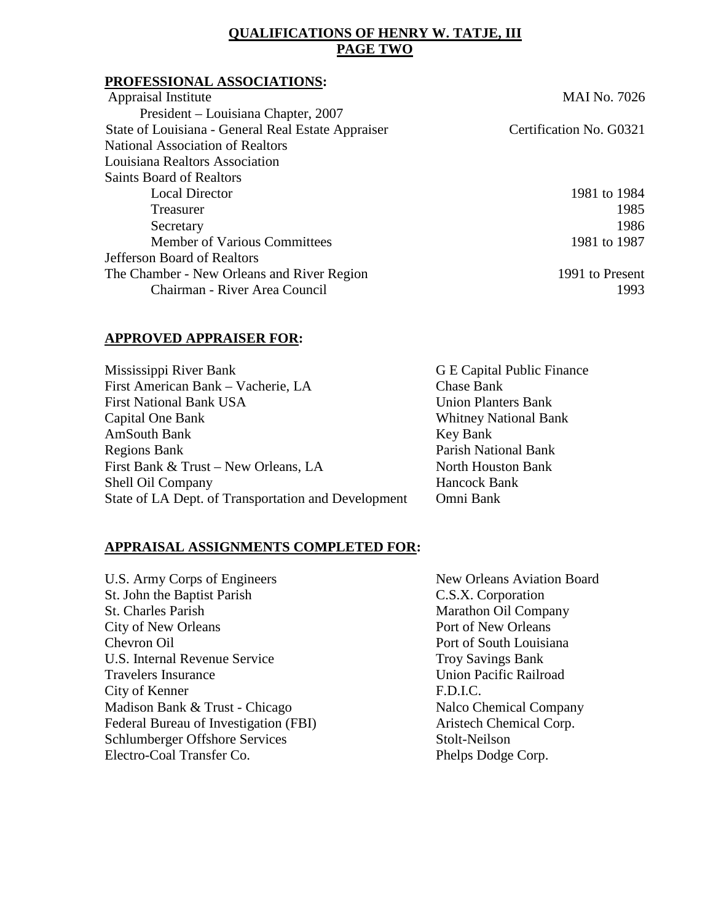## **QUALIFICATIONS OF HENRY W. TATJE, III PAGE TWO**

#### **PROFESSIONAL ASSOCIATIONS:**

| Appraisal Institute                                | <b>MAI No. 7026</b>     |
|----------------------------------------------------|-------------------------|
| President – Louisiana Chapter, 2007                |                         |
| State of Louisiana - General Real Estate Appraiser | Certification No. G0321 |
| National Association of Realtors                   |                         |
| Louisiana Realtors Association                     |                         |
| Saints Board of Realtors                           |                         |
| <b>Local Director</b>                              | 1981 to 1984            |
| Treasurer                                          | 1985                    |
| Secretary                                          | 1986                    |
| <b>Member of Various Committees</b>                | 1981 to 1987            |
| Jefferson Board of Realtors                        |                         |
| The Chamber - New Orleans and River Region         | 1991 to Present         |
| Chairman - River Area Council                      | 1993                    |
|                                                    |                         |

### **APPROVED APPRAISER FOR:**

| Mississippi River Bank                              | G E Capital Public Finance   |
|-----------------------------------------------------|------------------------------|
| First American Bank - Vacherie, LA                  | Chase Bank                   |
| <b>First National Bank USA</b>                      | <b>Union Planters Bank</b>   |
| Capital One Bank                                    | <b>Whitney National Bank</b> |
| <b>AmSouth Bank</b>                                 | Key Bank                     |
| <b>Regions Bank</b>                                 | Parish National Bank         |
| First Bank & Trust – New Orleans, LA                | North Houston Bank           |
| Shell Oil Company                                   | Hancock Bank                 |
| State of LA Dept. of Transportation and Development | Omni Bank                    |

## **APPRAISAL ASSIGNMENTS COMPLETED FOR:**

U.S. Army Corps of Engineers New Orleans Aviation Board St. John the Baptist Parish C.S.X. Corporation St. Charles Parish Marathon Oil Company<br>City of New Orleans Port of New Orleans City of New Orleans **Chevron Oil** Port of South Louisiana U.S. Internal Revenue Service Troy Savings Bank Travelers Insurance Union Pacific Railroad City of Kenner F.D.I.C. Madison Bank & Trust - Chicago Nalco Chemical Company Federal Bureau of Investigation (FBI) Aristech Chemical Corp. Schlumberger Offshore Services Stolt-Neilson Electro-Coal Transfer Co. Phelps Dodge Corp.